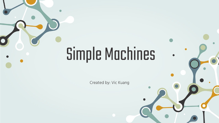# Simple Machines

Created by: Vic Kuang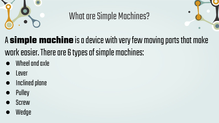

### What are Simple Machines?



# A **simple machine** is a device with very few moving parts that make work easier. There are 6 types of simple machines:

- Wheel and axle
- **Lever**
- Inclined plane
- **Pulley**
- **Screw**
- Wedge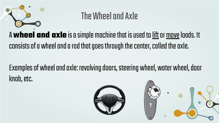

#### The Wheel and Axle

#### A **wheel and axle** is a simple machine that is used to lift or move loads. It consists of a wheel and a rod that goes through the center, called the axle.

#### Examples of wheel and axle: revolving doors, steering wheel, water wheel, door knob, etc.

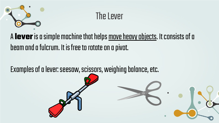

#### The Lever

#### A **lever** is a simple machine that helps move heavy objects. It consists of a beam and a fulcrum. It is free to rotate on a pivot.

Examples of a lever: seesaw, scissors, weighing balance, etc.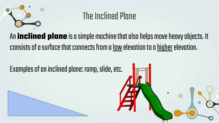

#### The Inclined Plane

An **inclined plane** is a simple machine that also helps move heavy objects. It consists of a surface that connects from a low elevation to a higher elevation.

#### Examples of an inclined plane: ramp, slide, etc.



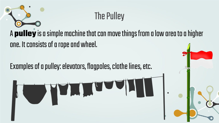# The Pulley A **pulley** is a simple machine that can move things from a low area to a higher one. It consists of a rope and wheel.

Examples of a pulley: elevators, flagpoles, clothe lines, etc.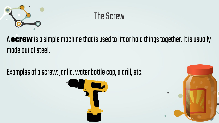

### The Screw

A **screw** is a simple machine that is used to lift or hold things together. It is usually made out of steel.

Examples of a screw: jar lid, water bottle cap, a drill, etc.



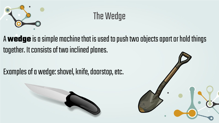

## The Wedge

A **wedge** is a simple machine that is used to push two objects apart or hold things together. It consists of two inclined planes.

Examples of a wedge: shovel, knife, doorstop, etc.